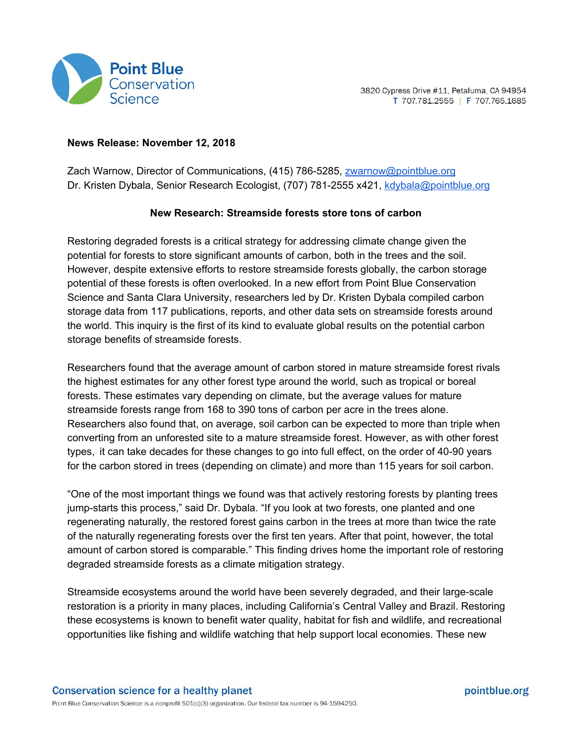

## **News Release: November 12, 2018**

Zach Warnow, Director of Communications, (415) 786-5285, [zwarnow@pointblue.org](mailto:zwarnow@pointblue.org) Dr. Kristen Dybala, Senior Research Ecologist, (707) 781-2555 x421, [kdybala@pointblue.org](mailto:kdybala@pointblue.org)

## **New Research: Streamside forests store tons of carbon**

Restoring degraded forests is a critical strategy for addressing climate change given the potential for forests to store significant amounts of carbon, both in the trees and the soil. However, despite extensive efforts to restore streamside forests globally, the carbon storage potential of these forests is often overlooked. In a new effort from Point Blue Conservation Science and Santa Clara University, researchers led by Dr. Kristen Dybala compiled carbon storage data from 117 publications, reports, and other data sets on streamside forests around the world. This inquiry is the first of its kind to evaluate global results on the potential carbon storage benefits of streamside forests.

Researchers found that the average amount of carbon stored in mature streamside forest rivals the highest estimates for any other forest type around the world, such as tropical or boreal forests. These estimates vary depending on climate, but the average values for mature streamside forests range from 168 to 390 tons of carbon per acre in the trees alone. Researchers also found that, on average, soil carbon can be expected to more than triple when converting from an unforested site to a mature streamside forest. However, as with other forest types, it can take decades for these changes to go into full effect, on the order of 40-90 years for the carbon stored in trees (depending on climate) and more than 115 years for soil carbon.

"One of the most important things we found was that actively restoring forests by planting trees jump-starts this process," said Dr. Dybala. "If you look at two forests, one planted and one regenerating naturally, the restored forest gains carbon in the trees at more than twice the rate of the naturally regenerating forests over the first ten years. After that point, however, the total amount of carbon stored is comparable." This finding drives home the important role of restoring degraded streamside forests as a climate mitigation strategy.

Streamside ecosystems around the world have been severely degraded, and their large-scale restoration is a priority in many places, including California's Central Valley and Brazil. Restoring these ecosystems is known to benefit water quality, habitat for fish and wildlife, and recreational opportunities like fishing and wildlife watching that help support local economies. These new